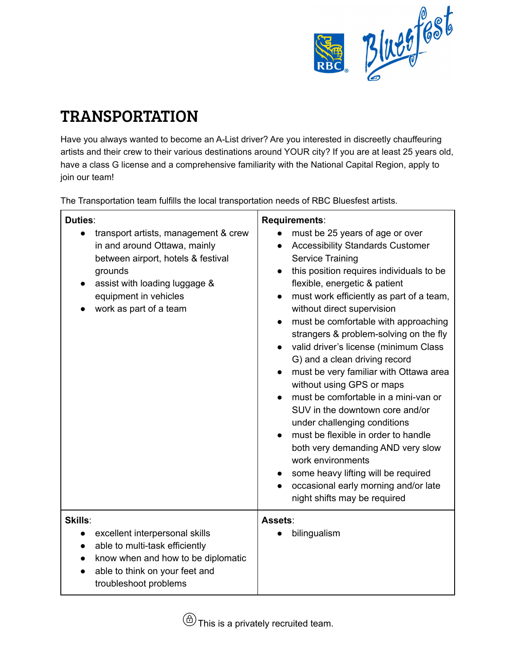

## TRANSPORTATION

Have you always wanted to become an A-List driver? Are you interested in discreetly chauffeuring artists and their crew to their various destinations around YOUR city? If you are at least 25 years old, have a class G license and a comprehensive familiarity with the National Capital Region, apply to join our team!

The Transportation team fulfills the local transportation needs of RBC Bluesfest artists.

| Duties:<br>transport artists, management & crew<br>in and around Ottawa, mainly<br>between airport, hotels & festival<br>grounds<br>assist with loading luggage &<br>equipment in vehicles<br>work as part of a team | Requirements:<br>must be 25 years of age or over<br><b>Accessibility Standards Customer</b><br>$\bullet$<br><b>Service Training</b><br>this position requires individuals to be<br>$\bullet$<br>flexible, energetic & patient<br>must work efficiently as part of a team,<br>$\bullet$<br>without direct supervision<br>must be comfortable with approaching<br>$\bullet$<br>strangers & problem-solving on the fly<br>valid driver's license (minimum Class<br>$\bullet$<br>G) and a clean driving record<br>must be very familiar with Ottawa area<br>$\bullet$<br>without using GPS or maps<br>must be comfortable in a mini-van or<br>SUV in the downtown core and/or<br>under challenging conditions<br>must be flexible in order to handle<br>both very demanding AND very slow<br>work environments<br>some heavy lifting will be required<br>occasional early morning and/or late<br>night shifts may be required |
|----------------------------------------------------------------------------------------------------------------------------------------------------------------------------------------------------------------------|---------------------------------------------------------------------------------------------------------------------------------------------------------------------------------------------------------------------------------------------------------------------------------------------------------------------------------------------------------------------------------------------------------------------------------------------------------------------------------------------------------------------------------------------------------------------------------------------------------------------------------------------------------------------------------------------------------------------------------------------------------------------------------------------------------------------------------------------------------------------------------------------------------------------------|
| Skills:<br>excellent interpersonal skills<br>$\bullet$<br>able to multi-task efficiently<br>$\bullet$<br>know when and how to be diplomatic<br>able to think on your feet and<br>troubleshoot problems               | Assets:<br>bilingualism                                                                                                                                                                                                                                                                                                                                                                                                                                                                                                                                                                                                                                                                                                                                                                                                                                                                                                   |